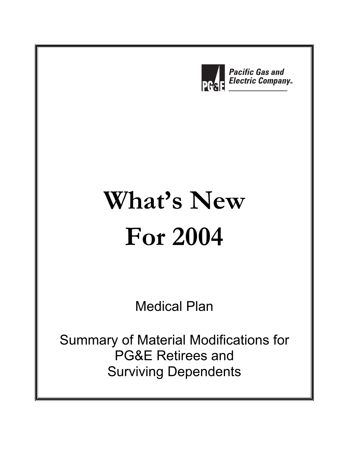

# **What's New For 2004**

Medical Plan

Summary of Material Modifications for PG&E Retirees and Surviving Dependents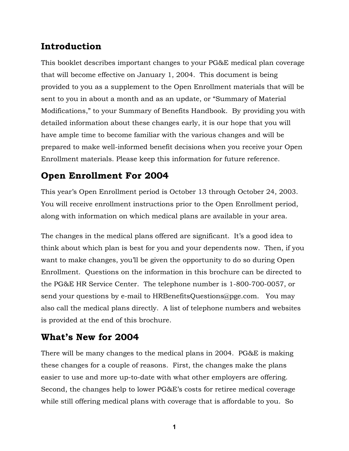# **Introduction**

This booklet describes important changes to your PG&E medical plan coverage that will become effective on January 1, 2004. This document is being provided to you as a supplement to the Open Enrollment materials that will be sent to you in about a month and as an update, or "Summary of Material Modifications," to your Summary of Benefits Handbook. By providing you with detailed information about these changes early, it is our hope that you will have ample time to become familiar with the various changes and will be prepared to make well-informed benefit decisions when you receive your Open Enrollment materials. Please keep this information for future reference.

# **Open Enrollment For 2004**

This year's Open Enrollment period is October 13 through October 24, 2003. You will receive enrollment instructions prior to the Open Enrollment period, along with information on which medical plans are available in your area.

The changes in the medical plans offered are significant. It's a good idea to think about which plan is best for you and your dependents now. Then, if you want to make changes, you'll be given the opportunity to do so during Open Enrollment. Questions on the information in this brochure can be directed to the PG&E HR Service Center. The telephone number is 1-800-700-0057, or send your questions by e-mail to HRBenefitsQuestions@pge.com. You may also call the medical plans directly. A list of telephone numbers and websites is provided at the end of this brochure.

# **What's New for 2004**

There will be many changes to the medical plans in 2004. PG&E is making these changes for a couple of reasons. First, the changes make the plans easier to use and more up-to-date with what other employers are offering. Second, the changes help to lower PG&E's costs for retiree medical coverage while still offering medical plans with coverage that is affordable to you. So

**1**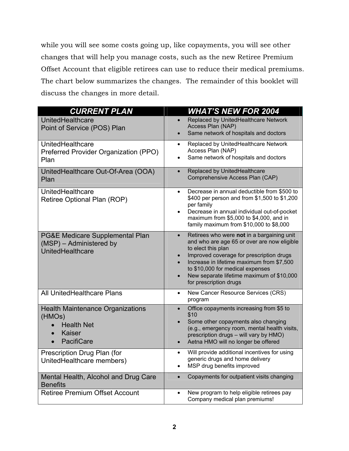while you will see some costs going up, like copayments, you will see other changes that will help you manage costs, such as the new Retiree Premium Offset Account that eligible retirees can use to reduce their medical premiums. The chart below summarizes the changes. The remainder of this booklet will discuss the changes in more detail.

| <b>CURRENT PLAN</b>                                                                                         | <b>WHAT'S NEW FOR 2004</b>                                                                                                                                                                                                                                                                                                                                 |
|-------------------------------------------------------------------------------------------------------------|------------------------------------------------------------------------------------------------------------------------------------------------------------------------------------------------------------------------------------------------------------------------------------------------------------------------------------------------------------|
| UnitedHealthcare<br>Point of Service (POS) Plan                                                             | Replaced by UnitedHealthcare Network<br>$\bullet$<br>Access Plan (NAP)<br>Same network of hospitals and doctors<br>$\bullet$                                                                                                                                                                                                                               |
| UnitedHealthcare<br>Preferred Provider Organization (PPO)<br>Plan                                           | Replaced by UnitedHealthcare Network<br>$\bullet$<br>Access Plan (NAP)<br>Same network of hospitals and doctors<br>$\bullet$                                                                                                                                                                                                                               |
| UnitedHealthcare Out-Of-Area (OOA)<br>Plan                                                                  | Replaced by UnitedHealthcare<br>$\bullet$<br>Comprehensive Access Plan (CAP)                                                                                                                                                                                                                                                                               |
| UnitedHealthcare<br>Retiree Optional Plan (ROP)                                                             | Decrease in annual deductible from \$500 to<br>$\bullet$<br>\$400 per person and from \$1,500 to \$1,200<br>per family<br>Decrease in annual individual out-of-pocket<br>$\bullet$<br>maximum from \$5,000 to \$4,000, and in<br>family maximum from \$10,000 to \$8,000                                                                                   |
| PG&E Medicare Supplemental Plan<br>(MSP) - Administered by<br>UnitedHealthcare                              | Retirees who were not in a bargaining unit<br>$\bullet$<br>and who are age 65 or over are now eligible<br>to elect this plan<br>Improved coverage for prescription drugs<br>$\bullet$<br>Increase in lifetime maximum from \$7,500<br>to \$10,000 for medical expenses<br>New separate lifetime maximum of \$10,000<br>$\bullet$<br>for prescription drugs |
| <b>All UnitedHealthcare Plans</b>                                                                           | New Cancer Resource Services (CRS)<br>$\bullet$<br>program                                                                                                                                                                                                                                                                                                 |
| <b>Health Maintenance Organizations</b><br>(HMOs)<br><b>Health Net</b><br>Kaiser<br>PacifiCare<br>$\bullet$ | Office copayments increasing from \$5 to<br>$\bullet$<br>\$10<br>Some other copayments also changing<br>$\bullet$<br>(e.g., emergency room, mental health visits,<br>prescription drugs - will vary by HMO)<br>Aetna HMO will no longer be offered<br>$\bullet$                                                                                            |
| Prescription Drug Plan (for<br>UnitedHealthcare members)                                                    | Will provide additional incentives for using<br>$\bullet$<br>generic drugs and home delivery<br>MSP drug benefits improved<br>$\bullet$                                                                                                                                                                                                                    |
| Mental Health, Alcohol and Drug Care<br><b>Benefits</b>                                                     | Copayments for outpatient visits changing<br>$\bullet$                                                                                                                                                                                                                                                                                                     |
| <b>Retiree Premium Offset Account</b>                                                                       | New program to help eligible retirees pay<br>Company medical plan premiums!                                                                                                                                                                                                                                                                                |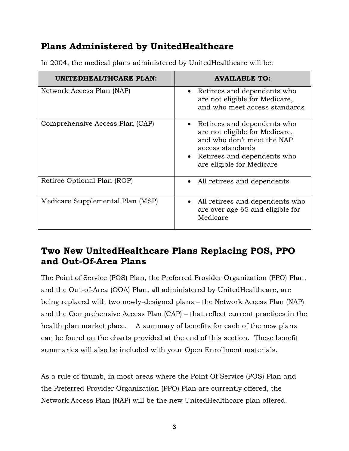# **Plans Administered by UnitedHealthcare**

| UNITEDHEALTHCARE PLAN:           | <b>AVAILABLE TO:</b>                                                                                                                                                            |
|----------------------------------|---------------------------------------------------------------------------------------------------------------------------------------------------------------------------------|
| Network Access Plan (NAP)        | Retirees and dependents who<br>$\bullet$<br>are not eligible for Medicare,<br>and who meet access standards                                                                     |
| Comprehensive Access Plan (CAP)  | • Retirees and dependents who<br>are not eligible for Medicare,<br>and who don't meet the NAP<br>access standards<br>• Retirees and dependents who<br>are eligible for Medicare |
| Retiree Optional Plan (ROP)      | All retirees and dependents<br>$\bullet$                                                                                                                                        |
| Medicare Supplemental Plan (MSP) | • All retirees and dependents who<br>are over age 65 and eligible for<br>Medicare                                                                                               |

In 2004, the medical plans administered by UnitedHealthcare will be:

# **Two New UnitedHealthcare Plans Replacing POS, PPO and Out-Of-Area Plans**

The Point of Service (POS) Plan, the Preferred Provider Organization (PPO) Plan, and the Out-of-Area (OOA) Plan, all administered by UnitedHealthcare, are being replaced with two newly-designed plans – the Network Access Plan (NAP) and the Comprehensive Access Plan (CAP) – that reflect current practices in the health plan market place. A summary of benefits for each of the new plans can be found on the charts provided at the end of this section. These benefit summaries will also be included with your Open Enrollment materials.

As a rule of thumb, in most areas where the Point Of Service (POS) Plan and the Preferred Provider Organization (PPO) Plan are currently offered, the Network Access Plan (NAP) will be the new UnitedHealthcare plan offered.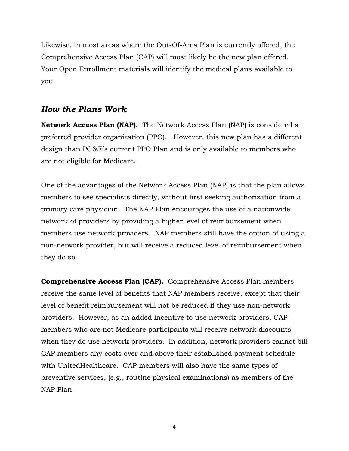Likewise, in most areas where the Out-Of-Area Plan is currently offered, the Comprehensive Access Plan (CAP) will most likely be the new plan offered. Your Open Enrollment materials will identify the medical plans available to you.

#### *How the Plans Work*

**Network Access Plan (NAP).** The Network Access Plan (NAP) is considered a preferred provider organization (PPO). However, this new plan has a different design than PG&E's current PPO Plan and is only available to members who are not eligible for Medicare.

One of the advantages of the Network Access Plan (NAP) is that the plan allows members to see specialists directly, without first seeking authorization from a primary care physician. The NAP Plan encourages the use of a nationwide network of providers by providing a higher level of reimbursement when members use network providers. NAP members still have the option of using a non-network provider, but will receive a reduced level of reimbursement when they do so.

**Comprehensive Access Plan (CAP).** Comprehensive Access Plan members receive the same level of benefits that NAP members receive, except that their level of benefit reimbursement will not be reduced if they use non-network providers. However, as an added incentive to use network providers, CAP members who are not Medicare participants will receive network discounts when they do use network providers. In addition, network providers cannot bill CAP members any costs over and above their established payment schedule with UnitedHealthcare. CAP members will also have the same types of preventive services, (e.g., routine physical examinations) as members of the NAP Plan.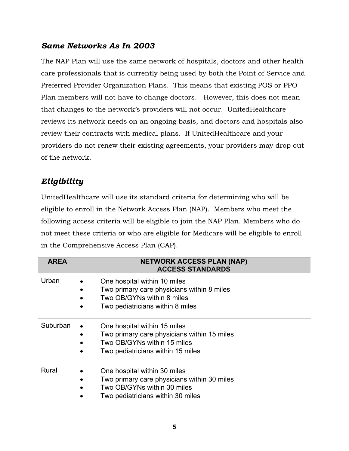### *Same Networks As In 2003*

The NAP Plan will use the same network of hospitals, doctors and other health care professionals that is currently being used by both the Point of Service and Preferred Provider Organization Plans. This means that existing POS or PPO Plan members will not have to change doctors. However, this does not mean that changes to the network's providers will not occur. UnitedHealthcare reviews its network needs on an ongoing basis, and doctors and hospitals also review their contracts with medical plans. If UnitedHealthcare and your providers do not renew their existing agreements, your providers may drop out of the network.

# *Eligibility*

UnitedHealthcare will use its standard criteria for determining who will be eligible to enroll in the Network Access Plan (NAP). Members who meet the following access criteria will be eligible to join the NAP Plan. Members who do not meet these criteria or who are eligible for Medicare will be eligible to enroll in the Comprehensive Access Plan (CAP).

| <b>AREA</b> | <b>NETWORK ACCESS PLAN (NAP)</b><br><b>ACCESS STANDARDS</b>                                                                                     |
|-------------|-------------------------------------------------------------------------------------------------------------------------------------------------|
| Urban       | One hospital within 10 miles<br>Two primary care physicians within 8 miles<br>Two OB/GYNs within 8 miles<br>Two pediatricians within 8 miles    |
| Suburban    | One hospital within 15 miles<br>Two primary care physicians within 15 miles<br>Two OB/GYNs within 15 miles<br>Two pediatricians within 15 miles |
| Rural       | One hospital within 30 miles<br>Two primary care physicians within 30 miles<br>Two OB/GYNs within 30 miles<br>Two pediatricians within 30 miles |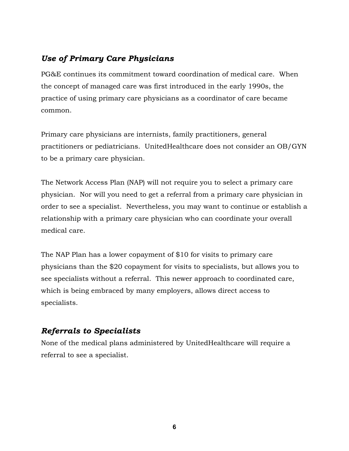### *Use of Primary Care Physicians*

PG&E continues its commitment toward coordination of medical care. When the concept of managed care was first introduced in the early 1990s, the practice of using primary care physicians as a coordinator of care became common.

Primary care physicians are internists, family practitioners, general practitioners or pediatricians. UnitedHealthcare does not consider an OB/GYN to be a primary care physician.

The Network Access Plan (NAP) will not require you to select a primary care physician. Nor will you need to get a referral from a primary care physician in order to see a specialist. Nevertheless, you may want to continue or establish a relationship with a primary care physician who can coordinate your overall medical care.

The NAP Plan has a lower copayment of \$10 for visits to primary care physicians than the \$20 copayment for visits to specialists, but allows you to see specialists without a referral. This newer approach to coordinated care, which is being embraced by many employers, allows direct access to specialists.

# *Referrals to Specialists*

None of the medical plans administered by UnitedHealthcare will require a referral to see a specialist.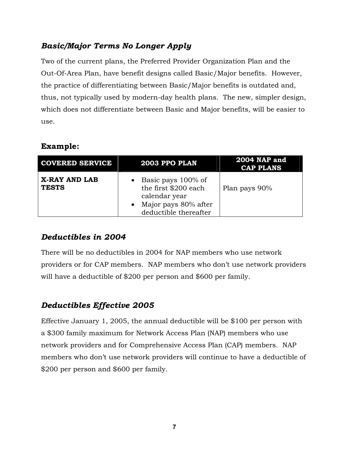# *Basic/Major Terms No Longer Apply*

Two of the current plans, the Preferred Provider Organization Plan and the Out-Of-Area Plan, have benefit designs called Basic/Major benefits. However, the practice of differentiating between Basic/Major benefits is outdated and, thus, not typically used by modern-day health plans. The new, simpler design, which does not differentiate between Basic and Major benefits, will be easier to use.

#### **Example:**

| <b>COVERED SERVICE</b>        | 2003 PPO PLAN                                                                                                     | <b>2004 NAP and</b><br><b>CAP PLANS</b> |
|-------------------------------|-------------------------------------------------------------------------------------------------------------------|-----------------------------------------|
| X-RAY AND LAB<br><b>TESTS</b> | • Basic pays $100\%$ of<br>the first \$200 each<br>calendar year<br>Major pays 80% after<br>deductible thereafter | Plan pays 90%                           |

### *Deductibles in 2004*

There will be no deductibles in 2004 for NAP members who use network providers or for CAP members. NAP members who don't use network providers will have a deductible of \$200 per person and \$600 per family.

### *Deductibles Effective 2005*

Effective January 1, 2005, the annual deductible will be \$100 per person with a \$300 family maximum for Network Access Plan (NAP) members who use network providers and for Comprehensive Access Plan (CAP) members. NAP members who don't use network providers will continue to have a deductible of \$200 per person and \$600 per family.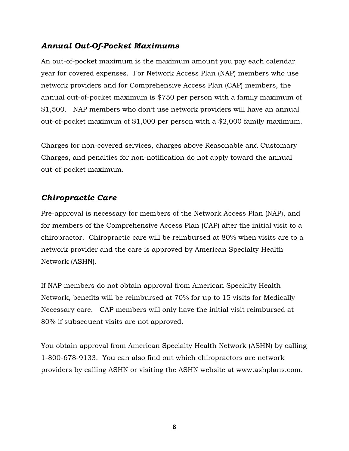### *Annual Out-Of-Pocket Maximums*

An out-of-pocket maximum is the maximum amount you pay each calendar year for covered expenses. For Network Access Plan (NAP) members who use network providers and for Comprehensive Access Plan (CAP) members, the annual out-of-pocket maximum is \$750 per person with a family maximum of \$1,500. NAP members who don't use network providers will have an annual out-of-pocket maximum of \$1,000 per person with a \$2,000 family maximum.

Charges for non-covered services, charges above Reasonable and Customary Charges, and penalties for non-notification do not apply toward the annual out-of-pocket maximum.

### *Chiropractic Care*

Pre-approval is necessary for members of the Network Access Plan (NAP), and for members of the Comprehensive Access Plan (CAP) after the initial visit to a chiropractor. Chiropractic care will be reimbursed at 80% when visits are to a network provider and the care is approved by American Specialty Health Network (ASHN).

If NAP members do not obtain approval from American Specialty Health Network, benefits will be reimbursed at 70% for up to 15 visits for Medically Necessary care. CAP members will only have the initial visit reimbursed at 80% if subsequent visits are not approved.

You obtain approval from American Specialty Health Network (ASHN) by calling 1-800-678-9133. You can also find out which chiropractors are network providers by calling ASHN or visiting the ASHN website at www.ashplans.com.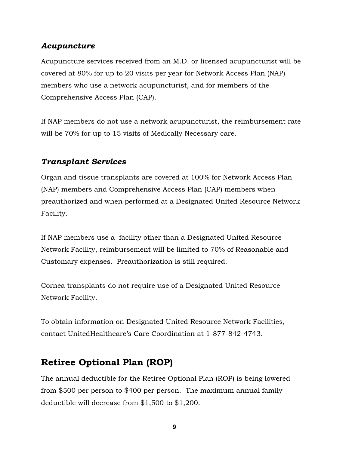### *Acupuncture*

Acupuncture services received from an M.D. or licensed acupuncturist will be covered at 80% for up to 20 visits per year for Network Access Plan (NAP) members who use a network acupuncturist, and for members of the Comprehensive Access Plan (CAP).

If NAP members do not use a network acupuncturist, the reimbursement rate will be 70% for up to 15 visits of Medically Necessary care.

### *Transplant Services*

Organ and tissue transplants are covered at 100% for Network Access Plan (NAP) members and Comprehensive Access Plan (CAP) members when preauthorized and when performed at a Designated United Resource Network Facility.

If NAP members use a facility other than a Designated United Resource Network Facility, reimbursement will be limited to 70% of Reasonable and Customary expenses. Preauthorization is still required.

Cornea transplants do not require use of a Designated United Resource Network Facility.

To obtain information on Designated United Resource Network Facilities, contact UnitedHealthcare's Care Coordination at 1-877-842-4743.

# **Retiree Optional Plan (ROP)**

The annual deductible for the Retiree Optional Plan (ROP) is being lowered from \$500 per person to \$400 per person. The maximum annual family deductible will decrease from \$1,500 to \$1,200.

**9**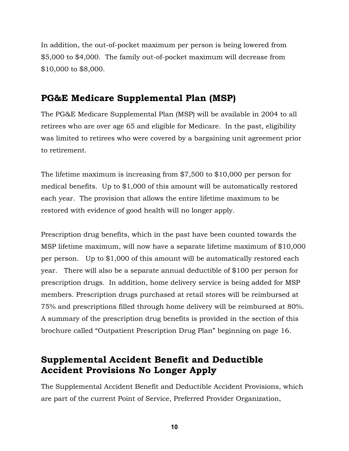In addition, the out-of-pocket maximum per person is being lowered from \$5,000 to \$4,000. The family out-of-pocket maximum will decrease from \$10,000 to \$8,000.

# **PG&E Medicare Supplemental Plan (MSP)**

The PG&E Medicare Supplemental Plan (MSP) will be available in 2004 to all retirees who are over age 65 and eligible for Medicare. In the past, eligibility was limited to retirees who were covered by a bargaining unit agreement prior to retirement.

The lifetime maximum is increasing from \$7,500 to \$10,000 per person for medical benefits. Up to \$1,000 of this amount will be automatically restored each year. The provision that allows the entire lifetime maximum to be restored with evidence of good health will no longer apply.

Prescription drug benefits, which in the past have been counted towards the MSP lifetime maximum, will now have a separate lifetime maximum of \$10,000 per person. Up to \$1,000 of this amount will be automatically restored each year. There will also be a separate annual deductible of \$100 per person for prescription drugs. In addition, home delivery service is being added for MSP members. Prescription drugs purchased at retail stores will be reimbursed at 75% and prescriptions filled through home delivery will be reimbursed at 80%. A summary of the prescription drug benefits is provided in the section of this brochure called "Outpatient Prescription Drug Plan" beginning on page 16.

# **Supplemental Accident Benefit and Deductible Accident Provisions No Longer Apply**

The Supplemental Accident Benefit and Deductible Accident Provisions, which are part of the current Point of Service, Preferred Provider Organization,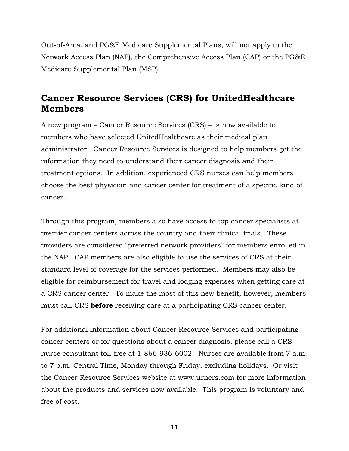Out-of-Area, and PG&E Medicare Supplemental Plans, will not apply to the Network Access Plan (NAP), the Comprehensive Access Plan (CAP) or the PG&E Medicare Supplemental Plan (MSP).

# **Cancer Resource Services (CRS) for UnitedHealthcare Members**

A new program – Cancer Resource Services (CRS) – is now available to members who have selected UnitedHealthcare as their medical plan administrator. Cancer Resource Services is designed to help members get the information they need to understand their cancer diagnosis and their treatment options. In addition, experienced CRS nurses can help members choose the best physician and cancer center for treatment of a specific kind of cancer.

Through this program, members also have access to top cancer specialists at premier cancer centers across the country and their clinical trials. These providers are considered "preferred network providers" for members enrolled in the NAP. CAP members are also eligible to use the services of CRS at their standard level of coverage for the services performed. Members may also be eligible for reimbursement for travel and lodging expenses when getting care at a CRS cancer center. To make the most of this new benefit, however, members must call CRS **before** receiving care at a participating CRS cancer center.

For additional information about Cancer Resource Services and participating cancer centers or for questions about a cancer diagnosis, please call a CRS nurse consultant toll-free at 1-866-936-6002. Nurses are available from 7 a.m. to 7 p.m. Central Time, Monday through Friday, excluding holidays. Or visit the Cancer Resource Services website at www.urncrs.com for more information about the products and services now available. This program is voluntary and free of cost.

**11**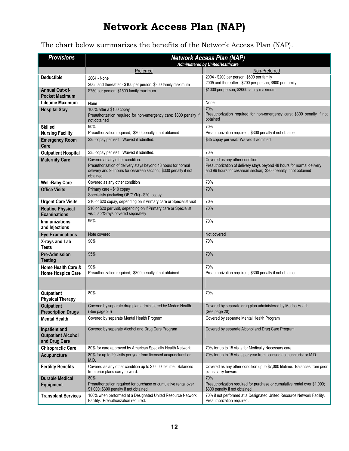# **Network Access Plan (NAP)**

The chart below summarizes the benefits of the Network Access Plan (NAP).

| <b>Provisions</b>                                           | <b>Network Access Plan (NAP)</b><br>Administered by UnitedHealthcare                                                                                                             |                                                                                                                                                                               |  |
|-------------------------------------------------------------|----------------------------------------------------------------------------------------------------------------------------------------------------------------------------------|-------------------------------------------------------------------------------------------------------------------------------------------------------------------------------|--|
|                                                             | Preferred                                                                                                                                                                        | Non-Preferred                                                                                                                                                                 |  |
| <b>Deductible</b>                                           | 2004 - None                                                                                                                                                                      | 2004 - \$200 per person; \$600 per family                                                                                                                                     |  |
|                                                             | 2005 and thereafter - \$100 per person; \$300 family maximum                                                                                                                     | 2005 and thereafter - \$200 per person; \$600 per family                                                                                                                      |  |
| <b>Annual Out-of-</b><br><b>Pocket Maximum</b>              | \$750 per person; \$1500 family maximum                                                                                                                                          | \$1000 per person; \$2000 family maximum                                                                                                                                      |  |
| <b>Lifetime Maximum</b>                                     | None                                                                                                                                                                             | None                                                                                                                                                                          |  |
| <b>Hospital Stay</b>                                        | 100% after a \$100 copay<br>Preauthorization required for non-emergency care; \$300 penalty if<br>not obtained                                                                   | 70%<br>Preauthorization required for non-emergency care; \$300 penalty if not<br>obtained                                                                                     |  |
| <b>Skilled</b><br><b>Nursing Facility</b>                   | 90%<br>Preauthorization required; \$300 penalty if not obtained                                                                                                                  | 70%<br>Preauthorization required; \$300 penalty if not obtained                                                                                                               |  |
| <b>Emergency Room</b><br>Care                               | \$35 copay per visit. Waived if admitted.                                                                                                                                        | \$35 copay per visit. Waived if admitted.                                                                                                                                     |  |
| <b>Outpatient Hospital</b>                                  | \$35 copay per visit. Waived if admitted.                                                                                                                                        | 70%                                                                                                                                                                           |  |
| <b>Maternity Care</b>                                       | Covered as any other condition.<br>Preauthorization of delivery stays beyond 48 hours for normal<br>delivery and 96 hours for cesarean section; \$300 penalty if not<br>obtained | Covered as any other condition.<br>Preauthorization of delivery stays beyond 48 hours for normal delivery<br>and 96 hours for cesarean section; \$300 penalty if not obtained |  |
| <b>Well-Baby Care</b>                                       | Covered as any other condition                                                                                                                                                   | 70%                                                                                                                                                                           |  |
| <b>Office Visits</b>                                        | Primary care - \$10 copay<br>Specialists (including OB/GYN) - \$20 copay                                                                                                         | 70%                                                                                                                                                                           |  |
| <b>Urgent Care Visits</b>                                   | \$10 or \$20 copay, depending on if Primary care or Specialist visit                                                                                                             | 70%                                                                                                                                                                           |  |
| <b>Routine Physical</b><br><b>Examinations</b>              | \$10 or \$20 per visit, depending on if Primary care or Specialist<br>visit; lab/X-rays covered separately                                                                       | 70%                                                                                                                                                                           |  |
| <b>Immunizations</b><br>and Injections                      | 95%                                                                                                                                                                              | 70%                                                                                                                                                                           |  |
| <b>Eye Examinations</b>                                     | Note covered                                                                                                                                                                     | Not covered                                                                                                                                                                   |  |
| X-rays and Lab<br><b>Tests</b>                              | 90%                                                                                                                                                                              | 70%                                                                                                                                                                           |  |
| <b>Pre-Admission</b><br><b>Testing</b>                      | 95%                                                                                                                                                                              | 70%                                                                                                                                                                           |  |
| Home Health Care &<br><b>Home Hospice Care</b>              | 90%<br>Preauthorization required; \$300 penalty if not obtained                                                                                                                  | 70%<br>Preauthorization required: \$300 penalty if not obtained                                                                                                               |  |
|                                                             |                                                                                                                                                                                  |                                                                                                                                                                               |  |
| Outpatient<br><b>Physical Therapy</b>                       | 80%                                                                                                                                                                              | 70%                                                                                                                                                                           |  |
| <b>Outpatient</b><br><b>Prescription Drugs</b>              | Covered by separate drug plan administered by Medco Health<br>(See page 20)                                                                                                      | Covered by separate drug plan administered by Medco Health.<br>(See page 20)                                                                                                  |  |
| <b>Mental Health</b>                                        | Covered by separate Mental Health Program                                                                                                                                        | Covered by separate Mental Health Program                                                                                                                                     |  |
| Inpatient and<br><b>Outpatient Alcohol</b><br>and Drug Care | Covered by separate Alcohol and Drug Care Program                                                                                                                                | Covered by separate Alcohol and Drug Care Program                                                                                                                             |  |
| <b>Chiropractic Care</b>                                    | 80% for care approved by American Specialty Health Network                                                                                                                       | 70% for up to 15 visits for Medically Necessary care                                                                                                                          |  |
| <b>Acupuncture</b>                                          | 80% for up to 20 visits per year from licensed acupuncturist or<br>M.D.                                                                                                          | 70% for up to 15 visits per year from licensed acupuncturist or M.D.                                                                                                          |  |
| <b>Fertility Benefits</b>                                   | Covered as any other condition up to \$7,000 lifetime. Balances<br>from prior plans carry forward.                                                                               | Covered as any other condition up to \$7,000 lifetime. Balances from prior<br>plans carry forward.                                                                            |  |
| <b>Durable Medical</b><br><b>Equipment</b>                  | 80%<br>Preauthorization required for purchase or cumulative rental over<br>\$1,000; \$300 penalty if not obtained                                                                | 70%<br>Preauthorization required for purchase or cumulative rental over \$1,000;<br>\$300 penalty if not obtained                                                             |  |
| <b>Transplant Services</b>                                  | 100% when performed at a Designated United Resource Network<br>Facility. Preauthorization required.                                                                              | 70% if not performed at a Designated United Resource Network Facility.<br>Preauthorization required.                                                                          |  |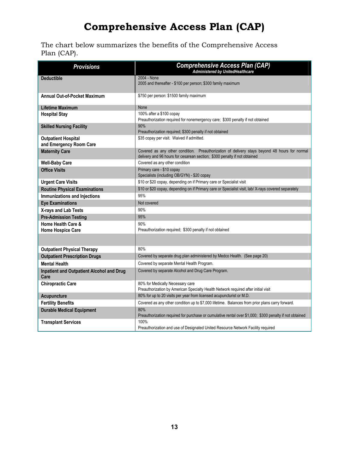# **Comprehensive Access Plan (CAP)**

The chart below summarizes the benefits of the Comprehensive Access Plan (CAP).

| <b>Provisions</b>                                     | <b>Comprehensive Access Plan (CAP)</b><br><b>Administered by UnitedHealthcare</b>                                                                                          |  |
|-------------------------------------------------------|----------------------------------------------------------------------------------------------------------------------------------------------------------------------------|--|
| <b>Deductible</b>                                     | 2004 - None<br>2005 and thereafter - \$100 per person; \$300 family maximum                                                                                                |  |
| <b>Annual Out-of-Pocket Maximum</b>                   | \$750 per person: \$1500 family maximum                                                                                                                                    |  |
| <b>Lifetime Maximum</b>                               | None                                                                                                                                                                       |  |
| <b>Hospital Stay</b>                                  | 100% after a \$100 copay<br>Preauthorization required for nonemergency care; \$300 penalty if not obtained                                                                 |  |
| <b>Skilled Nursing Facility</b>                       | 90%<br>Preauthorization required; \$300 penalty if not obtained                                                                                                            |  |
| <b>Outpatient Hospital</b><br>and Emergency Room Care | \$35 copay per visit. Waived if admitted.                                                                                                                                  |  |
| <b>Maternity Care</b>                                 | Covered as any other condition. Preauthorization of delivery stays beyond 48 hours for normal<br>delivery and 96 hours for cesarean section; \$300 penalty if not obtained |  |
| <b>Well-Baby Care</b>                                 | Covered as any other condition                                                                                                                                             |  |
| <b>Office Visits</b>                                  | Primary care - \$10 copay<br>Specialists (including OB/GYN) - \$20 copay                                                                                                   |  |
| <b>Urgent Care Visits</b>                             | \$10 or \$20 copay, depending on if Primary care or Specialist visit                                                                                                       |  |
| <b>Routine Physical Examinations</b>                  | \$10 or \$20 copay, depending on if Primary care or Specialist visit, lab/X-rays covered separately                                                                        |  |
| <b>Immunizations and Injections</b>                   | 95%                                                                                                                                                                        |  |
| <b>Eye Examinations</b>                               | Not covered                                                                                                                                                                |  |
| X-rays and Lab Tests                                  | 90%                                                                                                                                                                        |  |
| <b>Pre-Admission Testing</b>                          | 95%                                                                                                                                                                        |  |
| Home Health Care &<br><b>Home Hospice Care</b>        | 90%<br>Preauthorization required; \$300 penalty if not obtained                                                                                                            |  |
|                                                       |                                                                                                                                                                            |  |
| <b>Outpatient Physical Therapy</b>                    | 80%                                                                                                                                                                        |  |
| <b>Outpatient Prescription Drugs</b>                  | Covered by separate drug plan administered by Medco Health. (See page 20)                                                                                                  |  |
| <b>Mental Health</b>                                  | Covered by separate Mental Health Program.                                                                                                                                 |  |
| Inpatient and Outpatient Alcohol and Drug<br>Care     | Covered by separate Alcohol and Drug Care Program.                                                                                                                         |  |
| <b>Chiropractic Care</b>                              | 80% for Medically Necessary care<br>Preauthorization by American Specialty Health Network required after initial visit                                                     |  |
| Acupuncture                                           | 80% for up to 20 visits per year from licensed acupuncturist or M.D.                                                                                                       |  |
| <b>Fertility Benefits</b>                             | Covered as any other condition up to \$7,000 lifetime. Balances from prior plans carry forward.                                                                            |  |
| <b>Durable Medical Equipment</b>                      | 80%<br>Preauthorization required for purchase or cumulative rental over \$1,000; \$300 penalty if not obtained                                                             |  |
| <b>Transplant Services</b>                            | 100%<br>Preauthorization and use of Designated United Resource Network Facility required                                                                                   |  |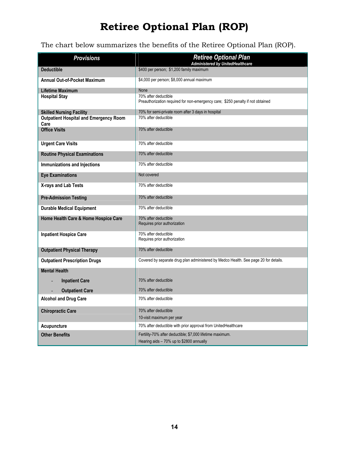# **Retiree Optional Plan (ROP)**

# The chart below summarizes the benefits of the Retiree Optional Plan (ROP).

| <b>Provisions</b>                                     | <b>Retiree Optional Plan</b><br><b>Administered by UnitedHealthcare</b>                                 |
|-------------------------------------------------------|---------------------------------------------------------------------------------------------------------|
| <b>Deductible</b>                                     | \$400 per person; \$1,200 family maximum                                                                |
| <b>Annual Out-of-Pocket Maximum</b>                   | \$4,000 per person; \$8,000 annual maximum                                                              |
| <b>Lifetime Maximum</b>                               | None                                                                                                    |
| <b>Hospital Stay</b>                                  | 70% after deductible<br>Preauthorization required for non-emergency care; \$250 penalty if not obtained |
| <b>Skilled Nursing Facility</b>                       | 70% for semi-private room after 3 days in hospital                                                      |
| <b>Outpatient Hospital and Emergency Room</b><br>Care | 70% after deductible                                                                                    |
| <b>Office Visits</b>                                  | 70% after deductible                                                                                    |
| <b>Urgent Care Visits</b>                             | 70% after deductible                                                                                    |
| <b>Routine Physical Examinations</b>                  | 70% after deductible                                                                                    |
| Immunizations and Injections                          | 70% after deductible                                                                                    |
| <b>Eye Examinations</b>                               | Not covered                                                                                             |
| X-rays and Lab Tests                                  | 70% after deductible                                                                                    |
| <b>Pre-Admission Testing</b>                          | 70% after deductible                                                                                    |
| <b>Durable Medical Equipment</b>                      | 70% after deductible                                                                                    |
| Home Health Care & Home Hospice Care                  | 70% after deductible<br>Requires prior authorization                                                    |
| <b>Inpatient Hospice Care</b>                         | 70% after deductible<br>Requires prior authorization                                                    |
| <b>Outpatient Physical Therapy</b>                    | 70% after deductible                                                                                    |
| <b>Outpatient Prescription Drugs</b>                  | Covered by separate drug plan administered by Medco Health. See page 20 for details.                    |
| <b>Mental Health</b>                                  |                                                                                                         |
| <b>Inpatient Care</b>                                 | 70% after deductible                                                                                    |
| <b>Outpatient Care</b>                                | 70% after deductible                                                                                    |
| <b>Alcohol and Drug Care</b>                          | 70% after deductible                                                                                    |
| <b>Chiropractic Care</b>                              | 70% after deductible                                                                                    |
|                                                       | 10-visit maximum per year                                                                               |
| Acupuncture                                           | 70% after deductible with prior approval from UnitedHealthcare                                          |
| <b>Other Benefits</b>                                 | Fertility-70% after deductible; \$7,000 lifetime maximum.                                               |
|                                                       | Hearing aids - 70% up to \$2800 annually                                                                |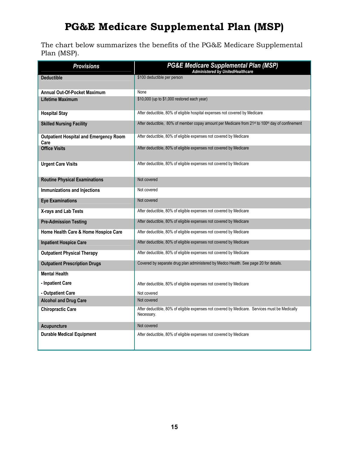# **PG&E Medicare Supplemental Plan (MSP)**

The chart below summarizes the benefits of the PG&E Medicare Supplemental Plan (MSP).

| <b>Provisions</b>                                     | <b>PG&amp;E Medicare Supplemental Plan (MSP)</b><br>Administered by UnitedHealthcare                                    |  |
|-------------------------------------------------------|-------------------------------------------------------------------------------------------------------------------------|--|
| <b>Deductible</b>                                     | \$100 deductible per person                                                                                             |  |
| <b>Annual Out-Of-Pocket Maximum</b>                   | None                                                                                                                    |  |
| Lifetime Maximum                                      | \$10,000 (up to \$1,000 restored each year)                                                                             |  |
| <b>Hospital Stay</b>                                  | After deductible, 80% of eligible hospital expenses not covered by Medicare                                             |  |
| <b>Skilled Nursing Facility</b>                       | After deductible, 80% of member copay amount per Medicare from 21 <sup>st</sup> to 100 <sup>th</sup> day of confinement |  |
| <b>Outpatient Hospital and Emergency Room</b><br>Care | After deductible, 80% of eligible expenses not covered by Medicare                                                      |  |
| <b>Office Visits</b>                                  | After deductible, 80% of eligible expenses not covered by Medicare                                                      |  |
| <b>Urgent Care Visits</b>                             | After deductible, 80% of eligible expenses not covered by Medicare                                                      |  |
| <b>Routine Physical Examinations</b>                  | Not covered                                                                                                             |  |
| Immunizations and Injections                          | Not covered                                                                                                             |  |
| <b>Eye Examinations</b>                               | Not covered                                                                                                             |  |
| X-rays and Lab Tests                                  | After deductible, 80% of eligible expenses not covered by Medicare                                                      |  |
| <b>Pre-Admission Testing</b>                          | After deductible, 80% of eligible expenses not covered by Medicare                                                      |  |
| Home Health Care & Home Hospice Care                  | After deductible, 80% of eligible expenses not covered by Medicare                                                      |  |
| <b>Inpatient Hospice Care</b>                         | After deductible, 80% of eligible expenses not covered by Medicare                                                      |  |
| <b>Outpatient Physical Therapy</b>                    | After deductible, 80% of eligible expenses not covered by Medicare                                                      |  |
| <b>Outpatient Prescription Drugs</b>                  | Covered by separate drug plan administered by Medco Health. See page 20 for details.                                    |  |
| <b>Mental Health</b>                                  |                                                                                                                         |  |
| - Inpatient Care                                      | After deductible, 80% of eligible expenses not covered by Medicare                                                      |  |
| - Outpatient Care                                     | Not covered                                                                                                             |  |
| <b>Alcohol and Drug Care</b>                          | Not covered                                                                                                             |  |
| <b>Chiropractic Care</b>                              | After deductible, 80% of eligible expenses not covered by Medicare. Services must be Medically<br>Necessary.            |  |
| <b>Acupuncture</b>                                    | Not covered                                                                                                             |  |
| <b>Durable Medical Equipment</b>                      | After deductible, 80% of eligible expenses not covered by Medicare                                                      |  |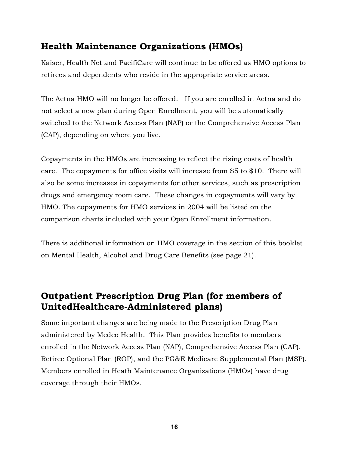# **Health Maintenance Organizations (HMOs)**

Kaiser, Health Net and PacifiCare will continue to be offered as HMO options to retirees and dependents who reside in the appropriate service areas.

The Aetna HMO will no longer be offered. If you are enrolled in Aetna and do not select a new plan during Open Enrollment, you will be automatically switched to the Network Access Plan (NAP) or the Comprehensive Access Plan (CAP), depending on where you live.

Copayments in the HMOs are increasing to reflect the rising costs of health care. The copayments for office visits will increase from \$5 to \$10. There will also be some increases in copayments for other services, such as prescription drugs and emergency room care. These changes in copayments will vary by HMO. The copayments for HMO services in 2004 will be listed on the comparison charts included with your Open Enrollment information.

There is additional information on HMO coverage in the section of this booklet on Mental Health, Alcohol and Drug Care Benefits (see page 21).

# **Outpatient Prescription Drug Plan (for members of UnitedHealthcare-Administered plans)**

Some important changes are being made to the Prescription Drug Plan administered by Medco Health. This Plan provides benefits to members enrolled in the Network Access Plan (NAP), Comprehensive Access Plan (CAP), Retiree Optional Plan (ROP), and the PG&E Medicare Supplemental Plan (MSP). Members enrolled in Heath Maintenance Organizations (HMOs) have drug coverage through their HMOs.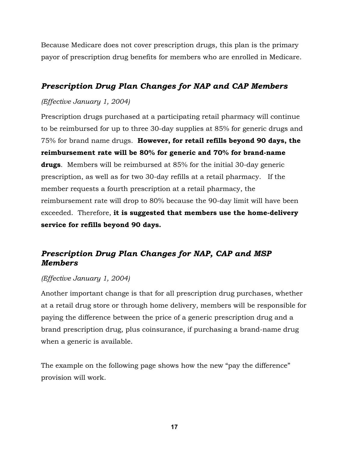Because Medicare does not cover prescription drugs, this plan is the primary payor of prescription drug benefits for members who are enrolled in Medicare.

### *Prescription Drug Plan Changes for NAP and CAP Members*

#### *(Effective January 1, 2004)*

Prescription drugs purchased at a participating retail pharmacy will continue to be reimbursed for up to three 30-day supplies at 85% for generic drugs and 75% for brand name drugs. **However, for retail refills beyond 90 days, the reimbursement rate will be 80% for generic and 70% for brand-name drugs**. Members will be reimbursed at 85% for the initial 30-day generic prescription, as well as for two 30-day refills at a retail pharmacy. If the member requests a fourth prescription at a retail pharmacy, the reimbursement rate will drop to 80% because the 90-day limit will have been exceeded. Therefore, **it is suggested that members use the home-delivery service for refills beyond 90 days.**

### *Prescription Drug Plan Changes for NAP, CAP and MSP Members*

#### *(Effective January 1, 2004)*

Another important change is that for all prescription drug purchases, whether at a retail drug store or through home delivery, members will be responsible for paying the difference between the price of a generic prescription drug and a brand prescription drug, plus coinsurance, if purchasing a brand-name drug when a generic is available.

The example on the following page shows how the new "pay the difference" provision will work.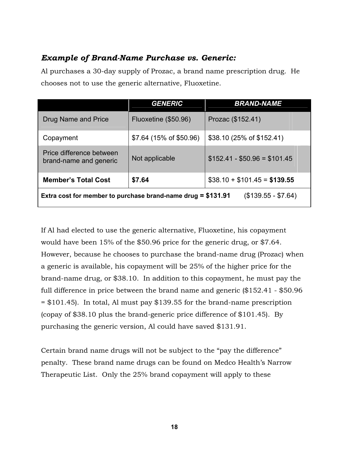#### *Example of Brand-Name Purchase vs. Generic:*

Al purchases a 30-day supply of Prozac, a brand name prescription drug. He chooses not to use the generic alternative, Fluoxetine.

|                                                                                     | <b>GENERIC</b>          | <b>BRAND-NAME</b>            |
|-------------------------------------------------------------------------------------|-------------------------|------------------------------|
| Drug Name and Price                                                                 | Fluoxetine (\$50.96)    | Prozac (\$152.41)            |
| Copayment                                                                           | \$7.64 (15% of \$50.96) | \$38.10 (25% of \$152.41)    |
| Price difference between<br>brand-name and generic                                  | Not applicable          | $$152.41 - $50.96 = $101.45$ |
| \$7.64<br><b>Member's Total Cost</b>                                                |                         | $$38.10 + $101.45 = $139.55$ |
| $($139.55 - $7.64)$<br>Extra cost for member to purchase brand-name drug = \$131.91 |                         |                              |

If Al had elected to use the generic alternative, Fluoxetine, his copayment would have been 15% of the \$50.96 price for the generic drug, or \$7.64. However, because he chooses to purchase the brand-name drug (Prozac) when a generic is available, his copayment will be 25% of the higher price for the brand-name drug, or \$38.10. In addition to this copayment, he must pay the full difference in price between the brand name and generic (\$152.41 - \$50.96 = \$101.45). In total, Al must pay \$139.55 for the brand-name prescription (copay of \$38.10 plus the brand-generic price difference of \$101.45). By purchasing the generic version, Al could have saved \$131.91.

Certain brand name drugs will not be subject to the "pay the difference" penalty. These brand name drugs can be found on Medco Health's Narrow Therapeutic List. Only the 25% brand copayment will apply to these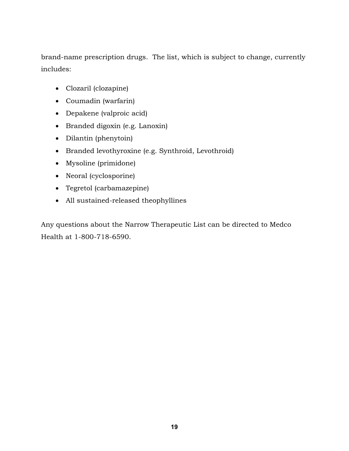brand-name prescription drugs. The list, which is subject to change, currently includes:

- Clozaril (clozapine)
- Coumadin (warfarin)
- Depakene (valproic acid)
- Branded digoxin (e.g. Lanoxin)
- Dilantin (phenytoin)
- Branded levothyroxine (e.g. Synthroid, Levothroid)
- Mysoline (primidone)
- Neoral (cyclosporine)
- Tegretol (carbamazepine)
- All sustained-released theophyllines

Any questions about the Narrow Therapeutic List can be directed to Medco Health at 1-800-718-6590.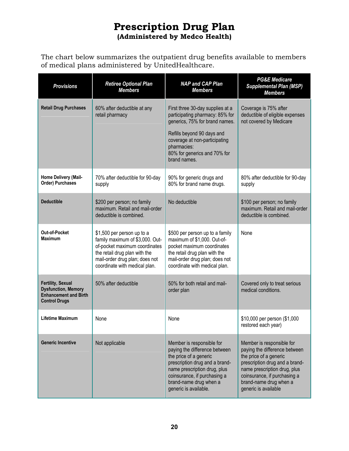# **Prescription Drug Plan (Administered by Medco Health)**

The chart below summarizes the outpatient drug benefits available to members of medical plans administered by UnitedHealthcare.

| <b>Provisions</b>                                                                                              | <b>Retiree Optional Plan</b><br><b>Members</b>                                                                                                                                                     | <b>NAP and CAP Plan</b><br><b>Members</b>                                                                                                                                                                                                 | <b>PG&amp;E Medicare</b><br><b>Supplemental Plan (MSP)</b><br><b>Members</b>                                                                                                                                                             |
|----------------------------------------------------------------------------------------------------------------|----------------------------------------------------------------------------------------------------------------------------------------------------------------------------------------------------|-------------------------------------------------------------------------------------------------------------------------------------------------------------------------------------------------------------------------------------------|------------------------------------------------------------------------------------------------------------------------------------------------------------------------------------------------------------------------------------------|
| <b>Retail Drug Purchases</b>                                                                                   | 60% after deductible at any<br>retail pharmacy                                                                                                                                                     | First three 30-day supplies at a<br>participating pharmacy: 85% for<br>generics, 75% for brand names.<br>Refills beyond 90 days and<br>coverage at non-participating<br>pharmacies:<br>80% for generics and 70% for<br>brand names.       | Coverage is 75% after<br>deductible of eligible expenses<br>not covered by Medicare                                                                                                                                                      |
| Home Delivery (Mail-<br><b>Order) Purchases</b>                                                                | 70% after deductible for 90-day<br>supply                                                                                                                                                          | 90% for generic drugs and<br>80% for brand name drugs.                                                                                                                                                                                    | 80% after deductible for 90-day<br>supply                                                                                                                                                                                                |
| <b>Deductible</b>                                                                                              | \$200 per person; no family<br>maximum. Retail and mail-order<br>deductible is combined.                                                                                                           | No deductible                                                                                                                                                                                                                             | \$100 per person; no family<br>maximum. Retail and mail-order<br>deductible is combined.                                                                                                                                                 |
| Out-of-Pocket<br><b>Maximum</b>                                                                                | \$1,500 per person up to a<br>family maximum of \$3,000. Out-<br>of-pocket maximum coordinates<br>the retail drug plan with the<br>mail-order drug plan; does not<br>coordinate with medical plan. | \$500 per person up to a family<br>maximum of \$1,000. Out-of-<br>pocket maximum coordinates<br>the retail drug plan with the<br>mail-order drug plan; does not<br>coordinate with medical plan.                                          | None                                                                                                                                                                                                                                     |
| <b>Fertility, Sexual</b><br><b>Dysfunction, Memory</b><br><b>Enhancement and Birth</b><br><b>Control Drugs</b> | 50% after deductible                                                                                                                                                                               | 50% for both retail and mail-<br>order plan                                                                                                                                                                                               | Covered only to treat serious<br>medical conditions.                                                                                                                                                                                     |
| <b>Lifetime Maximum</b>                                                                                        | None                                                                                                                                                                                               | None                                                                                                                                                                                                                                      | \$10,000 per person (\$1,000<br>restored each year)                                                                                                                                                                                      |
| <b>Generic Incentive</b>                                                                                       | Not applicable                                                                                                                                                                                     | Member is responsible for<br>paying the difference between<br>the price of a generic<br>prescription drug and a brand-<br>name prescription drug, plus<br>coinsurance, if purchasing a<br>brand-name drug when a<br>generic is available. | Member is responsible for<br>paying the difference between<br>the price of a generic<br>prescription drug and a brand-<br>name prescription drug, plus<br>coinsurance, if purchasing a<br>brand-name drug when a<br>generic is available |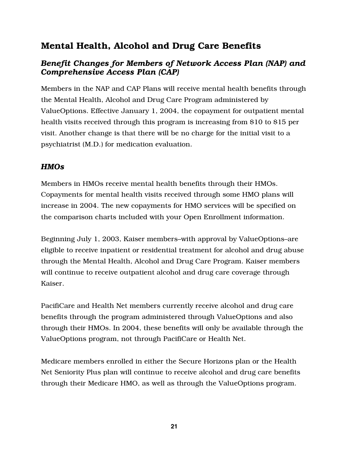# Mental Health, Alcohol and Drug Care Benefits

### *Benefit Changes for Members of Network Access Plan (NAP) and Comprehensive Access Plan (CAP)*

Members in the NAP and CAP Plans will receive mental health benefits through the Mental Health, Alcohol and Drug Care Program administered by ValueOptions. Effective January 1, 2004, the copayment for outpatient mental health visits received through this program is increasing from \$10 to \$15 per visit. Another change is that there will be no charge for the initial visit to a psychiatrist (M.D.) for medication evaluation.

### *HMOs*

Members in HMOs receive mental health benefits through their HMOs. Copayments for mental health visits received through some HMO plans will increase in 2004. The new copayments for HMO services will be specified on the comparison charts included with your Open Enrollment information.

Beginning July 1, 2003, Kaiser members–with approval by ValueOptions–are eligible to receive inpatient or residential treatment for alcohol and drug abuse through the Mental Health, Alcohol and Drug Care Program. Kaiser members will continue to receive outpatient alcohol and drug care coverage through Kaiser.

PacifiCare and Health Net members currently receive alcohol and drug care benefits through the program administered through ValueOptions and also through their HMOs. In 2004, these benefits will only be available through the ValueOptions program, not through PacifiCare or Health Net.

Medicare members enrolled in either the Secure Horizons plan or the Health Net Seniority Plus plan will continue to receive alcohol and drug care benefits through their Medicare HMO, as well as through the ValueOptions program.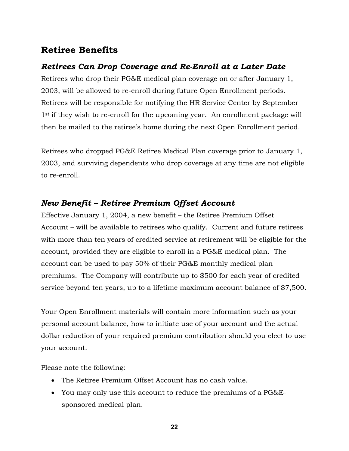# **Retiree Benefits**

### *Retirees Can Drop Coverage and Re-Enroll at a Later Date*

Retirees who drop their PG&E medical plan coverage on or after January 1, 2003, will be allowed to re-enroll during future Open Enrollment periods. Retirees will be responsible for notifying the HR Service Center by September 1<sup>st</sup> if they wish to re-enroll for the upcoming year. An enrollment package will then be mailed to the retiree's home during the next Open Enrollment period.

Retirees who dropped PG&E Retiree Medical Plan coverage prior to January 1, 2003, and surviving dependents who drop coverage at any time are not eligible to re-enroll.

### *New Benefit – Retiree Premium Offset Account*

Effective January 1, 2004, a new benefit – the Retiree Premium Offset Account – will be available to retirees who qualify. Current and future retirees with more than ten years of credited service at retirement will be eligible for the account, provided they are eligible to enroll in a PG&E medical plan. The account can be used to pay 50% of their PG&E monthly medical plan premiums. The Company will contribute up to \$500 for each year of credited service beyond ten years, up to a lifetime maximum account balance of \$7,500.

Your Open Enrollment materials will contain more information such as your personal account balance, how to initiate use of your account and the actual dollar reduction of your required premium contribution should you elect to use your account.

Please note the following:

- The Retiree Premium Offset Account has no cash value.
- You may only use this account to reduce the premiums of a PG&Esponsored medical plan.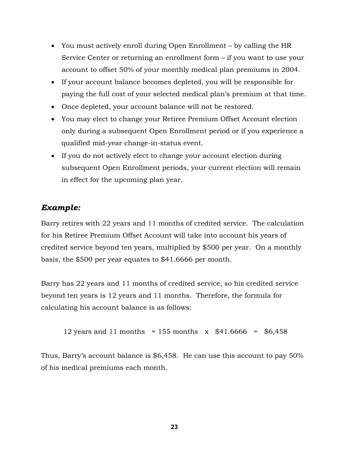- You must actively enroll during Open Enrollment by calling the HR Service Center or returning an enrollment form – if you want to use your account to offset 50% of your monthly medical plan premiums in 2004.
- If your account balance becomes depleted, you will be responsible for paying the full cost of your selected medical plan's premium at that time.
- Once depleted, your account balance will not be restored.
- You may elect to change your Retiree Premium Offset Account election only during a subsequent Open Enrollment period or if you experience a qualified mid-year change-in-status event.
- If you do not actively elect to change your account election during subsequent Open Enrollment periods, your current election will remain in effect for the upcoming plan year.

### *Example:*

Barry retires with 22 years and 11 months of credited service. The calculation for his Retiree Premium Offset Account will take into account his years of credited service beyond ten years, multiplied by \$500 per year. On a monthly basis, the \$500 per year equates to \$41.6666 per month.

Barry has 22 years and 11 months of credited service, so his credited service beyond ten years is 12 years and 11 months. Therefore, the formula for calculating his account balance is as follows:

12 years and 11 months = 155 months 
$$
x
$$
 \$41.6666 = \$6,458

Thus, Barry's account balance is \$6,458. He can use this account to pay 50% of his medical premiums each month.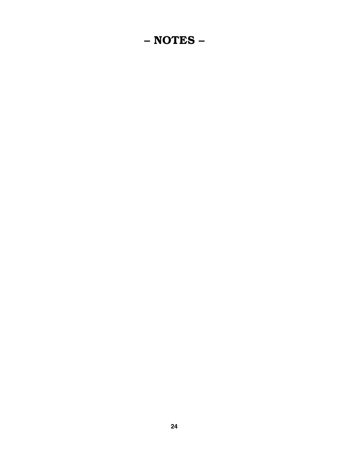# – NOTES –